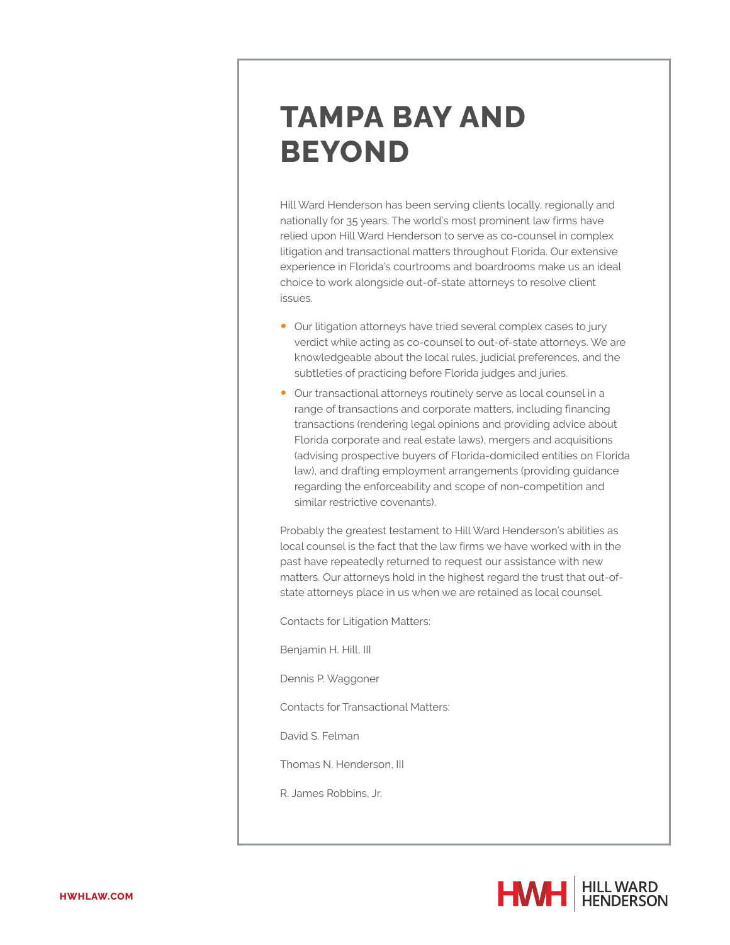## **TAMPA BAY AND BEYOND**

Hill Ward Henderson has been serving clients locally, regionally and nationally for 35 years. The world's most prominent law firms have relied upon Hill Ward Henderson to serve as co-counsel in complex litigation and transactional matters throughout Florida. Our extensive experience in Florida's courtrooms and boardrooms make us an ideal choice to work alongside out-of-state attorneys to resolve client issues.

- Our litigation attorneys have tried several complex cases to jury verdict while acting as co-counsel to out-of-state attorneys. We are knowledgeable about the local rules, judicial preferences, and the subtleties of practicing before Florida judges and juries.
- Our transactional attorneys routinely serve as local counsel in a range of transactions and corporate matters, including financing transactions (rendering legal opinions and providing advice about Florida corporate and real estate laws), mergers and acquisitions (advising prospective buyers of Florida-domiciled entities on Florida law), and drafting employment arrangements (providing guidance regarding the enforceability and scope of non-competition and similar restrictive covenants).

Probably the greatest testament to Hill Ward Henderson's abilities as local counsel is the fact that the law firms we have worked with in the past have repeatedly returned to request our assistance with new matters. Our attorneys hold in the highest regard the trust that out-ofstate attorneys place in us when we are retained as local counsel.

Contacts for Litigation Matters:

Benjamin H. Hill, III

Dennis P. Waggoner

Contacts for Transactional Matters:

David S. Felman

Thomas N. Henderson, III

R. James Robbins, Jr.